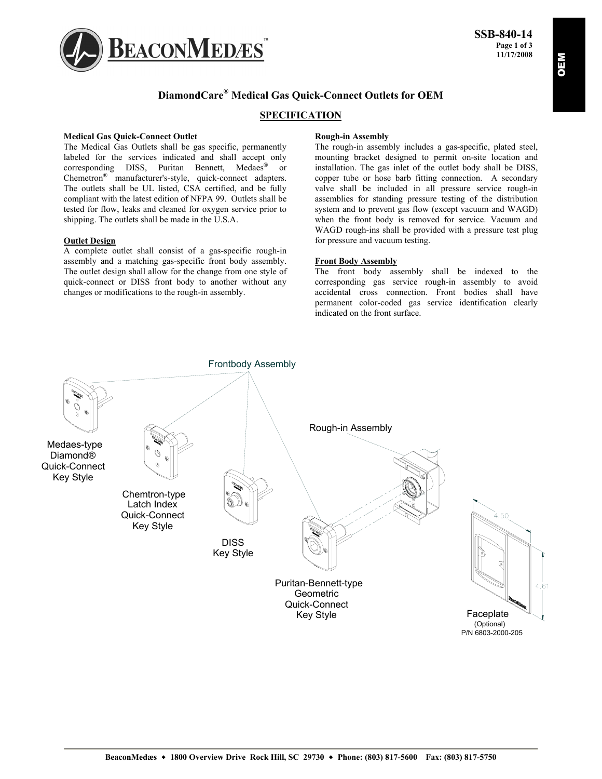

# **DiamondCare® Medical Gas Quick-Connect Outlets for OEM**

# **SPECIFICATION**

#### **Medical Gas Quick-Connect Outlet**

The Medical Gas Outlets shall be gas specific, permanently labeled for the services indicated and shall accept only corresponding DISS, Puritan Bennett, Medaes**®** or Chemetron® manufacturer's-style, quick-connect adapters. The outlets shall be UL listed, CSA certified, and be fully compliant with the latest edition of NFPA 99. Outlets shall be tested for flow, leaks and cleaned for oxygen service prior to shipping. The outlets shall be made in the U.S.A.

#### **Outlet Design**

A complete outlet shall consist of a gas-specific rough-in assembly and a matching gas-specific front body assembly. The outlet design shall allow for the change from one style of quick-connect or DISS front body to another without any changes or modifications to the rough-in assembly.

## **Rough-in Assembly**

The rough-in assembly includes a gas-specific, plated steel, mounting bracket designed to permit on-site location and installation. The gas inlet of the outlet body shall be DISS, copper tube or hose barb fitting connection. A secondary valve shall be included in all pressure service rough-in assemblies for standing pressure testing of the distribution system and to prevent gas flow (except vacuum and WAGD) when the front body is removed for service. Vacuum and WAGD rough-ins shall be provided with a pressure test plug for pressure and vacuum testing.

### **Front Body Assembly**

The front body assembly shall be indexed to the corresponding gas service rough-in assembly to avoid accidental cross connection. Front bodies shall have permanent color-coded gas service identification clearly indicated on the front surface.

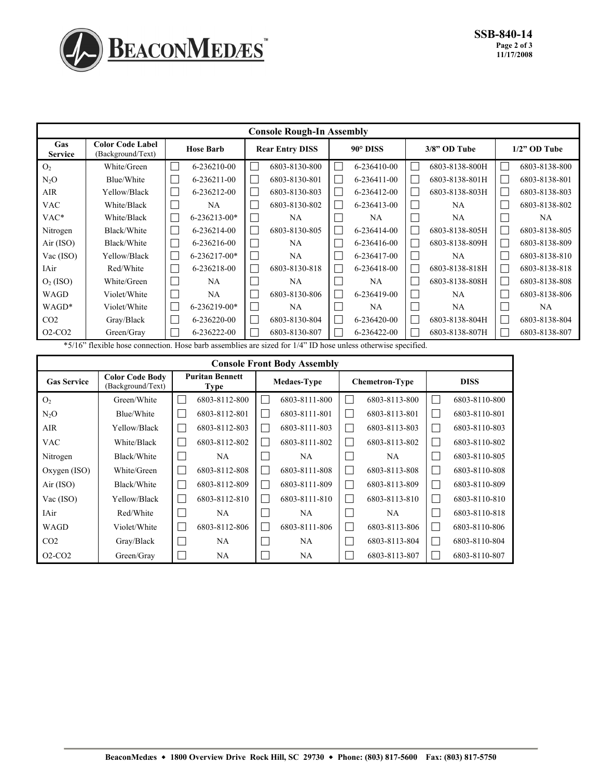

| <b>Console Rough-In Assembly</b> |                                                                                                           |                                                |                        |                   |                                            |                         |  |  |  |  |  |  |  |
|----------------------------------|-----------------------------------------------------------------------------------------------------------|------------------------------------------------|------------------------|-------------------|--------------------------------------------|-------------------------|--|--|--|--|--|--|--|
| Gas<br><b>Service</b>            | <b>Color Code Label</b><br>(Background/Text)                                                              | <b>Hose Barb</b>                               | <b>Rear Entry DISS</b> | $90^\circ$ DISS   | $3/8$ " OD Tube                            | $1/2$ " OD Tube         |  |  |  |  |  |  |  |
| O <sub>2</sub>                   | White/Green                                                                                               | Ξ<br>6-236210-00                               | 6803-8130-800          | 6-236410-00       | 6803-8138-800H<br>×                        | П<br>6803-8138-800      |  |  |  |  |  |  |  |
| $N_2O$                           | Blue/White                                                                                                | 6-236211-00                                    | 6803-8130-801          | 6-236411-00       | 6803-8138-801H<br>$\overline{\phantom{0}}$ | 6803-8138-801<br>$\Box$ |  |  |  |  |  |  |  |
| <b>AIR</b>                       | Yellow/Black                                                                                              | 6-236212-00                                    | 6803-8130-803          | 6-236412-00       | 6803-8138-803H<br>×                        | $\Box$<br>6803-8138-803 |  |  |  |  |  |  |  |
| <b>VAC</b>                       | White/Black                                                                                               | NA.                                            | 6803-8130-802          | 6-236413-00       | NA.<br>×                                   | 6803-8138-802           |  |  |  |  |  |  |  |
| VAC*                             | White/Black                                                                                               | $\overline{\phantom{a}}$<br>$6 - 236213 - 00*$ | NA.                    | NA.               | NA                                         | NA.                     |  |  |  |  |  |  |  |
| Nitrogen                         | Black/White                                                                                               | 6-236214-00<br>×                               | 6803-8130-805          | L.<br>6-236414-00 | 6803-8138-805H<br>×                        | П<br>6803-8138-805      |  |  |  |  |  |  |  |
| Air (ISO)                        | Black/White                                                                                               | Ξ<br>6-236216-00                               | NA                     | Ξ<br>6-236416-00  | ٦<br>6803-8138-809H                        | $\Box$<br>6803-8138-809 |  |  |  |  |  |  |  |
| Vac (ISO)                        | Yellow/Black                                                                                              | $6 - 236217 - 00*$                             | NA                     | 6-236417-00       | NA<br>×.                                   | Г<br>6803-8138-810      |  |  |  |  |  |  |  |
| IAir                             | Red/White                                                                                                 | 6-236218-00                                    | 6803-8130-818          | 6-236418-00<br>L. | 6803-8138-818H<br>ri                       | 6803-8138-818<br>$\Box$ |  |  |  |  |  |  |  |
| $O2$ (ISO)                       | White/Green                                                                                               | NA.                                            | NA                     | NA.               | 6803-8138-808H                             | $\Box$<br>6803-8138-808 |  |  |  |  |  |  |  |
| WAGD                             | Violet/White                                                                                              | Ξ<br>NA                                        | 6803-8130-806          | Ξ<br>6-236419-00  | NA                                         | 6803-8138-806           |  |  |  |  |  |  |  |
| $WAGD^*$                         | Violet/White                                                                                              | 6-236219-00*                                   | NA.                    | NA.               | NA                                         | NA.                     |  |  |  |  |  |  |  |
| CO <sub>2</sub>                  | Gray/Black                                                                                                | Ξ<br>6-236220-00                               | 6803-8130-804          | Ξ<br>6-236420-00  | 6803-8138-804H                             | $\Box$<br>6803-8138-804 |  |  |  |  |  |  |  |
| $O2-CO2$                         | Green/Gray<br>$\mathbf{a} = \mathbf{a} \times \mathbf{a}$ and $\mathbf{a} = \mathbf{a} \times \mathbf{a}$ | 6-236222-00                                    | 6803-8130-807          | 6-236422-00       | 6803-8138-807H<br>×.                       | П<br>6803-8138-807      |  |  |  |  |  |  |  |

\*5/16" flexible hose connection. Hose barb assemblies are sized for 1/4" ID hose unless otherwise specified.

| <b>Console Front Body Assembly</b> |                                             |   |                                       |                          |                    |                   |                       |    |               |  |  |  |  |
|------------------------------------|---------------------------------------------|---|---------------------------------------|--------------------------|--------------------|-------------------|-----------------------|----|---------------|--|--|--|--|
| <b>Gas Service</b>                 | <b>Color Code Body</b><br>(Background/Text) |   | <b>Puritan Bennett</b><br><b>Type</b> |                          | <b>Medaes-Type</b> |                   | <b>Chemetron-Type</b> |    | <b>DISS</b>   |  |  |  |  |
| O <sub>2</sub>                     | Green/White                                 |   | 6803-8112-800                         |                          | 6803-8111-800      | L.                | 6803-8113-800         |    | 6803-8110-800 |  |  |  |  |
| N <sub>2</sub> O                   | Blue/White                                  |   | 6803-8112-801                         | $\mathcal{L}$            | 6803-8111-801      | $\mathcal{L}$     | 6803-8113-801         |    | 6803-8110-801 |  |  |  |  |
| AIR                                | Yellow/Black                                |   | 6803-8112-803                         | $\mathcal{L}$            | 6803-8111-803      | $\mathbf{L}$      | 6803-8113-803         | ×. | 6803-8110-803 |  |  |  |  |
| <b>VAC</b>                         | White/Black                                 |   | 6803-8112-802                         |                          | 6803-8111-802      | $\mathbf{L}$      | 6803-8113-802         |    | 6803-8110-802 |  |  |  |  |
| Nitrogen                           | Black/White                                 |   | <b>NA</b>                             |                          | NA.                |                   | NA                    |    | 6803-8110-805 |  |  |  |  |
| $Oxygen$ (ISO)                     | White/Green                                 |   | 6803-8112-808                         |                          | 6803-8111-808      | П                 | 6803-8113-808         |    | 6803-8110-808 |  |  |  |  |
| Air (ISO)                          | Black/White                                 |   | 6803-8112-809                         | $\overline{\phantom{a}}$ | 6803-8111-809      | $\mathbf{L}$      | 6803-8113-809         | m. | 6803-8110-809 |  |  |  |  |
| Vac (ISO)                          | Yellow/Black                                |   | 6803-8112-810                         |                          | 6803-8111-810      | П                 | 6803-8113-810         | n. | 6803-8110-810 |  |  |  |  |
| IAir                               | Red/White                                   |   | NA.                                   |                          | NA.                | $\mathbf{L}$      | NA                    |    | 6803-8110-818 |  |  |  |  |
| WAGD                               | Violet/White                                |   | 6803-8112-806                         |                          | 6803-8111-806      | $\vert \ \ \vert$ | 6803-8113-806         |    | 6803-8110-806 |  |  |  |  |
| CO <sub>2</sub>                    | Gray/Black                                  | × | NA.                                   |                          | NA                 | L.                | 6803-8113-804         |    | 6803-8110-804 |  |  |  |  |
| $O2-CO2$                           | Green/Gray                                  |   | NA.                                   |                          | NA                 |                   | 6803-8113-807         |    | 6803-8110-807 |  |  |  |  |